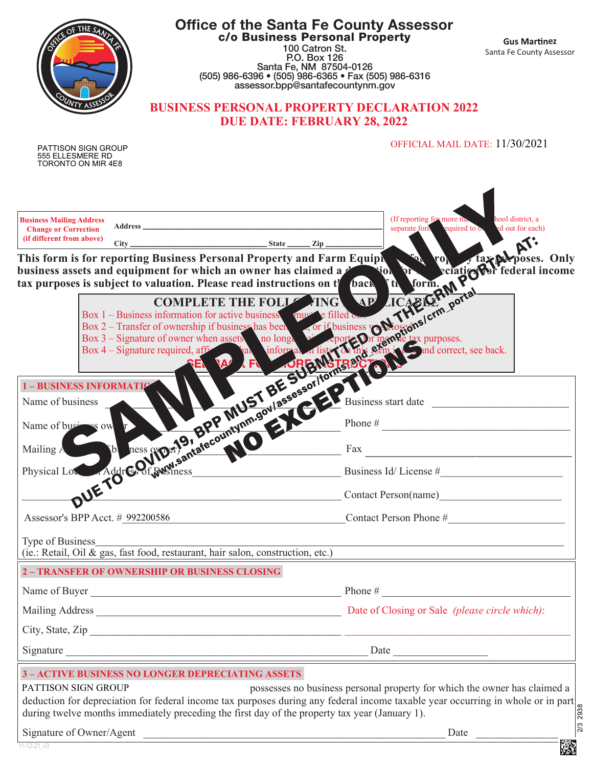| <b>Office of the Santa Fe County Assessor</b><br>c/o Business Personal Property<br>100 Catron St.<br>P.O. Box 126<br>Santa Fe, NM 87504-0126<br>(505) 986-6396 • (505) 986-6365 • Fax (505) 986-6316<br>assessor.bpp@santafecountynm.gov<br><b>BUSINESS PERSONAL PROPERTY DECLARATION 2022</b><br><b>DUE DATE: FEBRUARY 28, 2022</b> | <b>Gus Martinez</b><br>Santa Fe County Assessor                                   |
|--------------------------------------------------------------------------------------------------------------------------------------------------------------------------------------------------------------------------------------------------------------------------------------------------------------------------------------|-----------------------------------------------------------------------------------|
| <b>PATTISON SIGN GROUP</b><br>555 ELLESMERE RD<br>TORONTO ON MIR 4E8                                                                                                                                                                                                                                                                 | OFFICIAL MAIL DATE: 11/30/2021                                                    |
| Number of the Column of the Column of the Column of the Column of the Column of the Column of the Column of the Column of the Column of the Column of the Column of the Column of the Column of the Column of the Column of th                                                                                                       |                                                                                   |
|                                                                                                                                                                                                                                                                                                                                      |                                                                                   |
|                                                                                                                                                                                                                                                                                                                                      |                                                                                   |
|                                                                                                                                                                                                                                                                                                                                      |                                                                                   |
|                                                                                                                                                                                                                                                                                                                                      |                                                                                   |
|                                                                                                                                                                                                                                                                                                                                      |                                                                                   |
|                                                                                                                                                                                                                                                                                                                                      |                                                                                   |
| Type of Business<br>(ie.: Retail, Oil & gas, fast food, restaurant, hair salon, construction, etc.)<br>2 - TRANSFER OF OWNERSHIP OR BUSINESS CLOSING                                                                                                                                                                                 |                                                                                   |
| $\frac{1}{2}$ Phone #<br>Name of Buyer                                                                                                                                                                                                                                                                                               |                                                                                   |
|                                                                                                                                                                                                                                                                                                                                      |                                                                                   |
|                                                                                                                                                                                                                                                                                                                                      |                                                                                   |
| Signature                                                                                                                                                                                                                                                                                                                            | Date                                                                              |
| <b>3-ACTIVE BUSINESS NO LONGER DEPRECIATING ASSETS</b><br>PATTISON SIGN GROUP<br>deduction for depreciation for federal income tax purposes during any federal income taxable year occurring in whole or in part<br>during twelve months immediately preceding the first day of the property tax year (January 1).                   | possesses no business personal property for which the owner has claimed a<br>2938 |
| Signature of Owner/Agent<br><u> 2000 - Paris Paris II, martin Amerikaansk politiker (</u><br>$11 - 12 - 21$ v3                                                                                                                                                                                                                       | 2/3<br>Date                                                                       |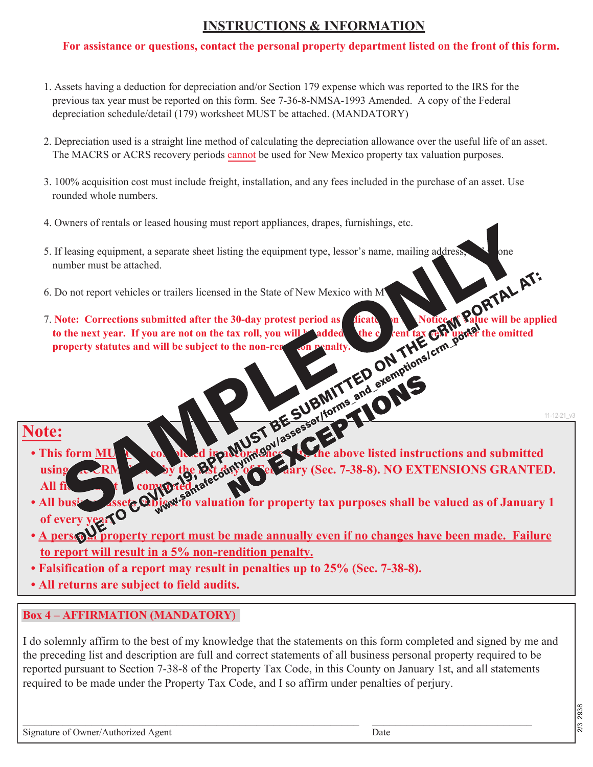# **INSTRUCTIONS & INFORMATION**

### **For assistance or questions, contact the personal property department listed on the front of this form.**

- 1. Assets having a deduction for depreciation and/or Section 179 expense which was reported to the IRS for the previous tax year must be reported on this form. See 7-36-8-NMSA-1993 Amended. A copy of the Federal depreciation schedule/detail (179) worksheet MUST be attached. (MANDATORY)
- 2. Depreciation used is a straight line method of calculating the depreciation allowance over the useful life of an asset. The MACRS or ACRS recovery periods cannot be used for New Mexico property tax valuation purposes.
- 3. 100% acquisition cost must include freight, installation, and any fees included in the purchase of an asset. Use rounded whole numbers.
- 4. Owners of rentals or leased housing must report appliances, drapes, furnishings, etc.
- 5. If leasing equipment, a separate sheet listing the equipment type, lessor's name, mailing address,  $\Box$  one number must be attached.
- 6. Do not report vehicles or trailers licensed in the State of New Mexico with M
- 7. Note: Corrections submitted after the 30-day protest period as **indicated on the Notice of Value will be applied to the next year.** If you are not on the tax roll, you will be added to the current tax cent tax the omitted **property statutes and will be subject to the non-rendity.**

## **Note:**

- This form **MUST be completed in accordance with the above listed instructions and submitted** using  $\sim$  RM  $\sim$  by the last day of February (Sec. 7-38-8). NO EXTENSIONS GRANTED. All file to the comported.
- All business assets **Object to valuation for property tax purposes shall be valued as of January 1 of every year.**
- **A personal property report must be made annually even if no changes have been made. Failure to report will result in a 5% non-rendition penalty.**
- **Falsification of a report may result in penalties up to 25% (Sec. 7-38-8).**
- **All returns are subject to field audits.**

### **Box 4 – AFFIRMATION (MANDATORY)**

I do solemnly affirm to the best of my knowledge that the statements on this form completed and signed by me and the preceding list and description are full and correct statements of all business personal property required to be reported pursuant to Section 7-38-8 of the Property Tax Code, in this County on January 1st, and all statements required to be made under the Property Tax Code, and I so affirm under penalties of perjury.

 $\_$  , and the set of the set of the set of the set of the set of the set of the set of the set of the set of the set of the set of the set of the set of the set of the set of the set of the set of the set of the set of th

Signature of Owner/Authorized Agent Date Date Date Date

11-12-21\_v3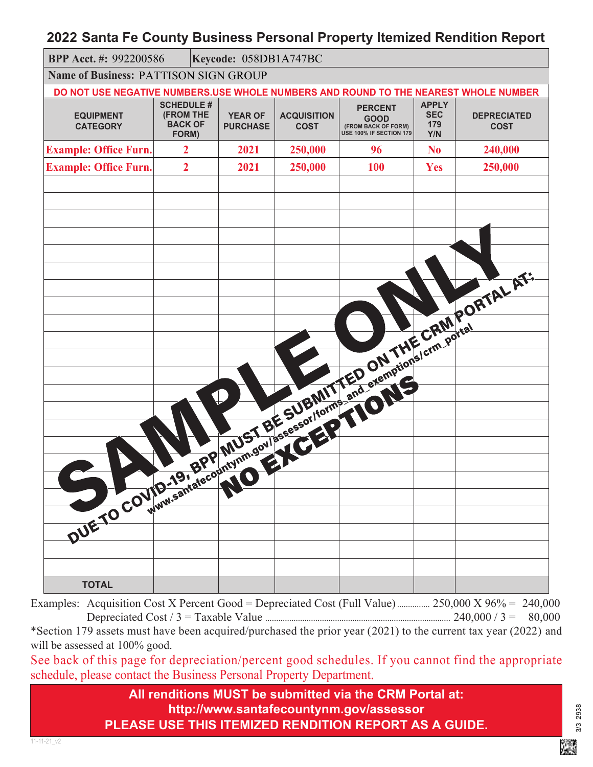### **2022 Santa Fe County Business Personal Property Itemized Rendition Report**

| BPP Acct. #: 992200586                                                                                                                                                                                                         |                                                                  | Keycode: 058DB1A747BC |                                   |                                   |                                                                                 |                                          |                                   |
|--------------------------------------------------------------------------------------------------------------------------------------------------------------------------------------------------------------------------------|------------------------------------------------------------------|-----------------------|-----------------------------------|-----------------------------------|---------------------------------------------------------------------------------|------------------------------------------|-----------------------------------|
| <b>Name of Business: PATTISON SIGN GROUP</b>                                                                                                                                                                                   |                                                                  |                       |                                   |                                   |                                                                                 |                                          |                                   |
| DO NOT USE NEGATIVE NUMBERS.USE WHOLE NUMBERS AND ROUND TO THE NEAREST WHOLE NUMBER                                                                                                                                            |                                                                  |                       |                                   |                                   |                                                                                 |                                          |                                   |
| <b>EQUIPMENT</b><br><b>CATEGORY</b>                                                                                                                                                                                            | <b>SCHEDULE #</b><br><b>(FROM THE</b><br><b>BACK OF</b><br>FORM) |                       | <b>YEAR OF</b><br><b>PURCHASE</b> | <b>ACQUISITION</b><br><b>COST</b> | <b>PERCENT</b><br><b>GOOD</b><br>(FROM BACK OF FORM)<br>USE 100% IF SECTION 179 | <b>APPLY</b><br><b>SEC</b><br>179<br>Y/N | <b>DEPRECIATED</b><br><b>COST</b> |
| <b>Example: Office Furn.</b>                                                                                                                                                                                                   | $\overline{2}$                                                   |                       | 2021                              | 250,000                           | 96                                                                              | N <sub>0</sub>                           | 240,000                           |
| <b>Example: Office Furn.</b>                                                                                                                                                                                                   | $\overline{2}$                                                   |                       | 2021                              | 250,000                           | <b>100</b>                                                                      | Yes                                      | 250,000                           |
|                                                                                                                                                                                                                                |                                                                  |                       |                                   |                                   |                                                                                 |                                          |                                   |
|                                                                                                                                                                                                                                |                                                                  |                       |                                   |                                   |                                                                                 |                                          |                                   |
|                                                                                                                                                                                                                                |                                                                  |                       |                                   |                                   |                                                                                 |                                          |                                   |
|                                                                                                                                                                                                                                |                                                                  |                       |                                   |                                   |                                                                                 |                                          |                                   |
|                                                                                                                                                                                                                                |                                                                  |                       |                                   |                                   |                                                                                 |                                          |                                   |
|                                                                                                                                                                                                                                |                                                                  |                       |                                   |                                   |                                                                                 |                                          |                                   |
|                                                                                                                                                                                                                                |                                                                  |                       |                                   |                                   |                                                                                 |                                          |                                   |
|                                                                                                                                                                                                                                |                                                                  |                       |                                   |                                   |                                                                                 |                                          |                                   |
|                                                                                                                                                                                                                                |                                                                  |                       |                                   |                                   |                                                                                 |                                          |                                   |
|                                                                                                                                                                                                                                |                                                                  |                       |                                   |                                   |                                                                                 |                                          |                                   |
|                                                                                                                                                                                                                                |                                                                  |                       |                                   |                                   |                                                                                 |                                          |                                   |
|                                                                                                                                                                                                                                |                                                                  |                       |                                   |                                   |                                                                                 |                                          |                                   |
|                                                                                                                                                                                                                                |                                                                  |                       |                                   |                                   |                                                                                 |                                          |                                   |
|                                                                                                                                                                                                                                |                                                                  |                       |                                   |                                   |                                                                                 |                                          |                                   |
|                                                                                                                                                                                                                                |                                                                  |                       |                                   |                                   |                                                                                 |                                          |                                   |
|                                                                                                                                                                                                                                |                                                                  |                       |                                   |                                   |                                                                                 |                                          |                                   |
|                                                                                                                                                                                                                                |                                                                  |                       |                                   |                                   |                                                                                 |                                          |                                   |
|                                                                                                                                                                                                                                |                                                                  |                       |                                   |                                   |                                                                                 |                                          |                                   |
|                                                                                                                                                                                                                                |                                                                  |                       |                                   |                                   |                                                                                 |                                          |                                   |
|                                                                                                                                                                                                                                |                                                                  |                       |                                   |                                   |                                                                                 |                                          |                                   |
|                                                                                                                                                                                                                                |                                                                  |                       |                                   |                                   |                                                                                 |                                          |                                   |
|                                                                                                                                                                                                                                |                                                                  |                       |                                   |                                   |                                                                                 |                                          |                                   |
| DUE TO COULD TO THE RESIDENCE OF THE CRIMP OF THE CRIMP OF THE CRIMP OF THE CRIMP OF THE CRIMP OF THE CRIMP OF THE CRIMP OF THE CRIMP OF THE CRIMP OF THE CRIMP OF THE CRIMP OF THE CRIMP OF THE CRIMP OF THE CRIMP OF THE CRI |                                                                  |                       |                                   |                                   |                                                                                 |                                          |                                   |
| <b>TOTAL</b>                                                                                                                                                                                                                   |                                                                  |                       |                                   |                                   |                                                                                 |                                          |                                   |

Examples: Acquisition Cost X Percent Good = Depreciated Cost (Full Value) ................. 250,000 X 96% = 240,000 Depreciated Cost / 3 = Taxable Value ..................................................................................... 240,000 / 3 = 80,000

\*Section 179 assets must have been acquired/purchased the prior year (2021) to the current tax year (2022) and will be assessed at  $100\%$  good.

See back of this page for depreciation/percent good schedules. If you cannot find the appropriate schedule, please contact the Business Personal Property Department.

> **All renditions MUST be submitted via the CRM Portal at: http://www.santafecountynm.gov/assessor PLEASE USE THIS ITEMIZED RENDITION REPORT AS A GUIDE.**

3/3 2938 3/3 2938